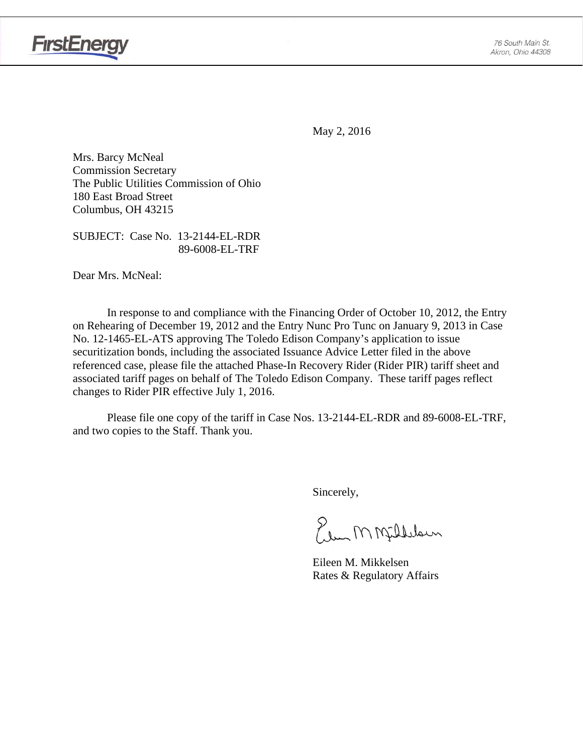

May 2, 2016

Mrs. Barcy McNeal Commission Secretary The Public Utilities Commission of Ohio 180 East Broad Street Columbus, OH 43215

SUBJECT: Case No. 13-2144-EL-RDR 89-6008-EL-TRF

Dear Mrs. McNeal:

In response to and compliance with the Financing Order of October 10, 2012, the Entry on Rehearing of December 19, 2012 and the Entry Nunc Pro Tunc on January 9, 2013 in Case No. 12-1465-EL-ATS approving The Toledo Edison Company's application to issue securitization bonds, including the associated Issuance Advice Letter filed in the above referenced case, please file the attached Phase-In Recovery Rider (Rider PIR) tariff sheet and associated tariff pages on behalf of The Toledo Edison Company. These tariff pages reflect changes to Rider PIR effective July 1, 2016.

Please file one copy of the tariff in Case Nos. 13-2144-EL-RDR and 89-6008-EL-TRF, and two copies to the Staff. Thank you.

Sincerely,

Elem M Milleloun

 Eileen M. Mikkelsen Rates & Regulatory Affairs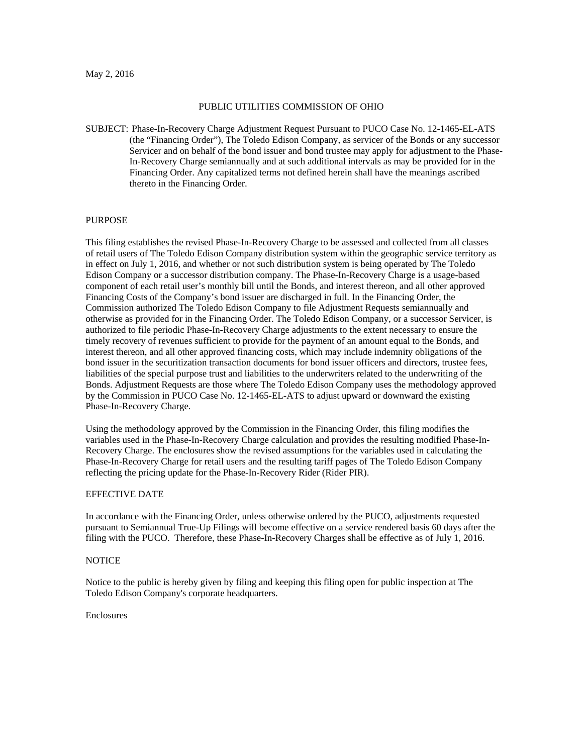#### PUBLIC UTILITIES COMMISSION OF OHIO

SUBJECT: Phase-In-Recovery Charge Adjustment Request Pursuant to PUCO Case No. 12-1465-EL-ATS (the "Financing Order"), The Toledo Edison Company, as servicer of the Bonds or any successor Servicer and on behalf of the bond issuer and bond trustee may apply for adjustment to the Phase-In-Recovery Charge semiannually and at such additional intervals as may be provided for in the Financing Order. Any capitalized terms not defined herein shall have the meanings ascribed thereto in the Financing Order.

### PURPOSE

This filing establishes the revised Phase-In-Recovery Charge to be assessed and collected from all classes of retail users of The Toledo Edison Company distribution system within the geographic service territory as in effect on July 1, 2016, and whether or not such distribution system is being operated by The Toledo Edison Company or a successor distribution company. The Phase-In-Recovery Charge is a usage-based component of each retail user's monthly bill until the Bonds, and interest thereon, and all other approved Financing Costs of the Company's bond issuer are discharged in full. In the Financing Order, the Commission authorized The Toledo Edison Company to file Adjustment Requests semiannually and otherwise as provided for in the Financing Order. The Toledo Edison Company, or a successor Servicer, is authorized to file periodic Phase-In-Recovery Charge adjustments to the extent necessary to ensure the timely recovery of revenues sufficient to provide for the payment of an amount equal to the Bonds, and interest thereon, and all other approved financing costs, which may include indemnity obligations of the bond issuer in the securitization transaction documents for bond issuer officers and directors, trustee fees, liabilities of the special purpose trust and liabilities to the underwriters related to the underwriting of the Bonds. Adjustment Requests are those where The Toledo Edison Company uses the methodology approved by the Commission in PUCO Case No. 12-1465-EL-ATS to adjust upward or downward the existing Phase-In-Recovery Charge.

Using the methodology approved by the Commission in the Financing Order, this filing modifies the variables used in the Phase-In-Recovery Charge calculation and provides the resulting modified Phase-In-Recovery Charge. The enclosures show the revised assumptions for the variables used in calculating the Phase-In-Recovery Charge for retail users and the resulting tariff pages of The Toledo Edison Company reflecting the pricing update for the Phase-In-Recovery Rider (Rider PIR).

#### EFFECTIVE DATE

In accordance with the Financing Order, unless otherwise ordered by the PUCO, adjustments requested pursuant to Semiannual True-Up Filings will become effective on a service rendered basis 60 days after the filing with the PUCO. Therefore, these Phase-In-Recovery Charges shall be effective as of July 1, 2016.

#### **NOTICE**

Notice to the public is hereby given by filing and keeping this filing open for public inspection at The Toledo Edison Company's corporate headquarters.

#### Enclosures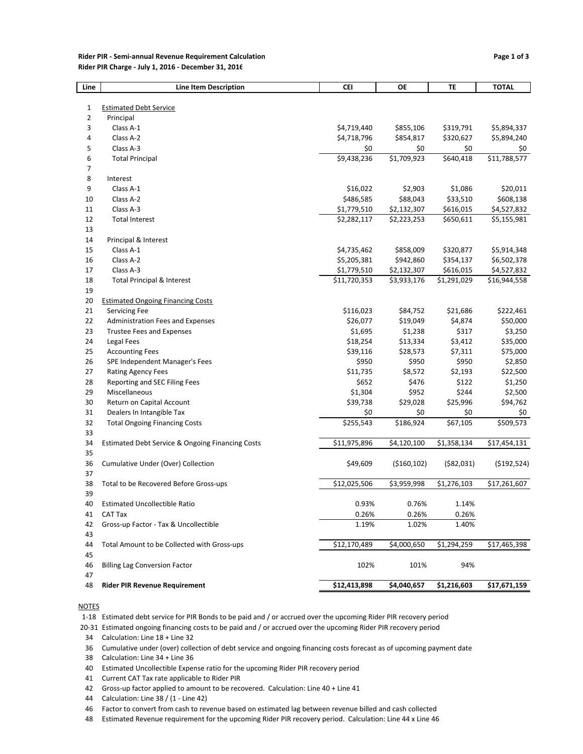#### **Rider PIR ‐ Semi‐annual Revenue Requirement Calculation Page 1 of 3 Rider PIR Charge ‐ July 1, 2016 ‐ December 31, 2016**

| Line           | <b>Line Item Description</b>                     | <b>CEI</b>                 | ОE                       | TE                     | <b>TOTAL</b>                |
|----------------|--------------------------------------------------|----------------------------|--------------------------|------------------------|-----------------------------|
|                |                                                  |                            |                          |                        |                             |
| $1\,$          | <b>Estimated Debt Service</b>                    |                            |                          |                        |                             |
| $\overline{2}$ | Principal                                        |                            |                          |                        |                             |
| 3              | Class A-1                                        | \$4,719,440                | \$855,106                | \$319,791              | \$5,894,337                 |
| 4              | Class A-2                                        | \$4,718,796                | \$854,817                | \$320,627              | \$5,894,240                 |
| 5              | Class A-3                                        | \$0                        | \$0                      | \$0                    | \$0                         |
| 6              | <b>Total Principal</b>                           | \$9,438,236                | \$1,709,923              | \$640,418              | \$11,788,577                |
| 7              |                                                  |                            |                          |                        |                             |
| 8              | Interest                                         |                            |                          |                        |                             |
| 9              | Class A-1                                        | \$16,022                   | \$2,903                  | \$1,086                | \$20,011                    |
| 10             | Class A-2                                        | \$486,585                  | \$88,043                 | \$33,510               | \$608,138                   |
| 11             | Class A-3                                        | \$1,779,510                | \$2,132,307              | \$616,015              | \$4,527,832                 |
| 12             | <b>Total Interest</b>                            | \$2,282,117                | \$2,223,253              | \$650,611              | \$5,155,981                 |
| 13             |                                                  |                            |                          |                        |                             |
| 14             | Principal & Interest<br>Class A-1                |                            |                          |                        |                             |
| 15             | Class A-2                                        | \$4,735,462<br>\$5,205,381 | \$858,009                | \$320,877              | \$5,914,348                 |
| 16<br>17       | Class A-3                                        | \$1,779,510                | \$942,860<br>\$2,132,307 | \$354,137<br>\$616,015 | \$6,502,378                 |
| 18             | <b>Total Principal &amp; Interest</b>            | \$11,720,353               | \$3,933,176              | \$1,291,029            | \$4,527,832<br>\$16,944,558 |
| 19             |                                                  |                            |                          |                        |                             |
| 20             | <b>Estimated Ongoing Financing Costs</b>         |                            |                          |                        |                             |
| 21             | <b>Servicing Fee</b>                             | \$116,023                  | \$84,752                 | \$21,686               | \$222,461                   |
| 22             | Administration Fees and Expenses                 | \$26,077                   | \$19,049                 | \$4,874                | \$50,000                    |
| 23             | <b>Trustee Fees and Expenses</b>                 | \$1,695                    | \$1,238                  | \$317                  | \$3,250                     |
| 24             | Legal Fees                                       | \$18,254                   | \$13,334                 | \$3,412                | \$35,000                    |
| 25             | <b>Accounting Fees</b>                           | \$39,116                   | \$28,573                 | \$7,311                | \$75,000                    |
| 26             | SPE Independent Manager's Fees                   | \$950                      | \$950                    | \$950                  | \$2,850                     |
| 27             | Rating Agency Fees                               | \$11,735                   | \$8,572                  | \$2,193                | \$22,500                    |
| 28             | Reporting and SEC Filing Fees                    | \$652                      | \$476                    | \$122                  | \$1,250                     |
| 29             | Miscellaneous                                    | \$1,304                    | \$952                    | \$244                  | \$2,500                     |
| 30             | Return on Capital Account                        | \$39,738                   | \$29,028                 | \$25,996               | \$94,762                    |
| 31             | Dealers In Intangible Tax                        | \$0                        | \$0                      | \$0                    | \$0                         |
| 32             | <b>Total Ongoing Financing Costs</b>             | \$255,543                  | \$186,924                | \$67,105               | \$509,573                   |
| 33             |                                                  |                            |                          |                        |                             |
| 34             | Estimated Debt Service & Ongoing Financing Costs | \$11,975,896               | \$4,120,100              | \$1,358,134            | \$17,454,131                |
| 35             |                                                  |                            |                          |                        |                             |
| 36             | Cumulative Under (Over) Collection               | \$49,609                   | ( \$160, 102)            | ( \$82,031)            | ( \$192, 524)               |
| 37             |                                                  |                            |                          |                        |                             |
| 38             | Total to be Recovered Before Gross-ups           | \$12,025,506               | \$3,959,998              | \$1,276,103            | \$17,261,607                |
| 39             |                                                  |                            |                          |                        |                             |
| 40             | <b>Estimated Uncollectible Ratio</b>             | 0.93%                      | 0.76%                    | 1.14%                  |                             |
| 41             | CAT Tax                                          | 0.26%                      | 0.26%                    | 0.26%                  |                             |
| 42             | Gross-up Factor - Tax & Uncollectible            | 1.19%                      | 1.02%                    | 1.40%                  |                             |
| 43             |                                                  |                            |                          |                        |                             |
| 44             | Total Amount to be Collected with Gross-ups      | \$12,170,489               | \$4,000,650              | \$1,294,259            | \$17,465,398                |
| 45             |                                                  |                            |                          |                        |                             |
| 46             | <b>Billing Lag Conversion Factor</b>             | 102%                       | 101%                     | 94%                    |                             |
| 47             |                                                  |                            |                          |                        |                             |
| 48             | <b>Rider PIR Revenue Requirement</b>             | \$12,413,898               | \$4,040,657              | \$1,216,603            | \$17,671,159                |

#### **NOTES**

1‐18 Estimated debt service for PIR Bonds to be paid and / or accrued over the upcoming Rider PIR recovery period

20‐31 Estimated ongoing financing costs to be paid and / or accrued over the upcoming Rider PIR recovery period

34 Calculation: Line 18 + Line 32

36 Cumulative under (over) collection of debt service and ongoing financing costs forecast as of upcoming payment date

38 Calculation: Line 34 + Line 36

40 Estimated Uncollectible Expense ratio for the upcoming Rider PIR recovery period

41 Current CAT Tax rate applicable to Rider PIR

42 Gross-up factor applied to amount to be recovered. Calculation: Line 40 + Line 41

44 Calculation: Line 38 / (1 ‐ Line 42)

46 Factor to convert from cash to revenue based on estimated lag between revenue billed and cash collected

48 Estimated Revenue requirement for the upcoming Rider PIR recovery period. Calculation: Line 44 x Line 46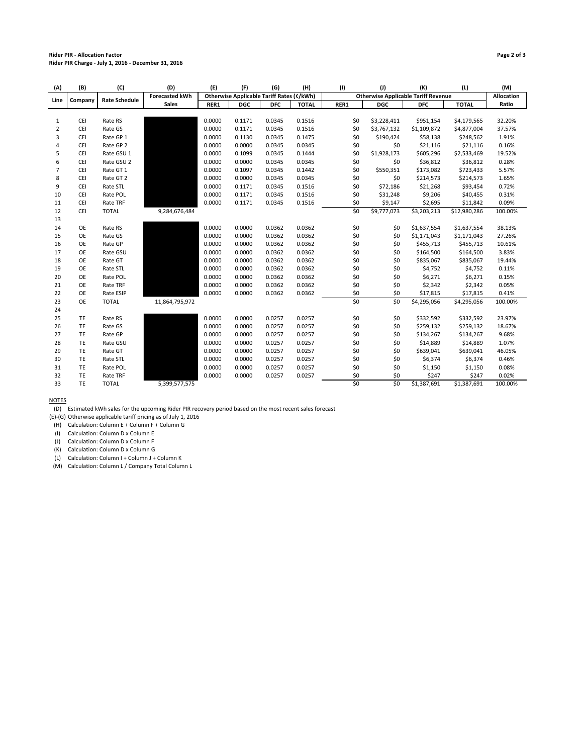#### **Rider PIR ‐ Allocation Factor Page 2 of 3 Rider PIR Charge ‐ July 1, 2016 ‐ December 31, 2016**

| (A)            | (B)        | (C)                  | (D)                   | (E)                                              | (F)        | (G)                                        | (H)          | (1)             | (1)         | (K)         | (L)          | (M)     |
|----------------|------------|----------------------|-----------------------|--------------------------------------------------|------------|--------------------------------------------|--------------|-----------------|-------------|-------------|--------------|---------|
| Line           | Company    | <b>Rate Schedule</b> | <b>Forecasted kWh</b> | <b>Otherwise Applicable Tariff Rates (¢/kWh)</b> |            | <b>Otherwise Applicable Tariff Revenue</b> |              |                 |             | Allocation  |              |         |
|                |            |                      | <b>Sales</b>          | RER1                                             | <b>DGC</b> | <b>DFC</b>                                 | <b>TOTAL</b> | RER1            | <b>DGC</b>  | <b>DFC</b>  | <b>TOTAL</b> | Ratio   |
|                |            |                      |                       |                                                  |            |                                            |              |                 |             |             |              |         |
| $\mathbf{1}$   | <b>CEI</b> | Rate RS              |                       | 0.0000                                           | 0.1171     | 0.0345                                     | 0.1516       | \$0             | \$3,228,411 | \$951,154   | \$4,179,565  | 32.20%  |
| $\overline{2}$ | CEI        | Rate GS              |                       | 0.0000                                           | 0.1171     | 0.0345                                     | 0.1516       | \$0             | \$3,767,132 | \$1,109,872 | \$4,877,004  | 37.57%  |
| 3              | CEI        | Rate GP 1            |                       | 0.0000                                           | 0.1130     | 0.0345                                     | 0.1475       | \$0             | \$190,424   | \$58,138    | \$248,562    | 1.91%   |
| 4              | CEI        | Rate GP 2            |                       | 0.0000                                           | 0.0000     | 0.0345                                     | 0.0345       | \$0             | \$0         | \$21,116    | \$21,116     | 0.16%   |
| 5              | CEI        | Rate GSU 1           |                       | 0.0000                                           | 0.1099     | 0.0345                                     | 0.1444       | \$0             | \$1,928,173 | \$605,296   | \$2,533,469  | 19.52%  |
| 6              | CEI        | Rate GSU 2           |                       | 0.0000                                           | 0.0000     | 0.0345                                     | 0.0345       | \$0             | \$0         | \$36,812    | \$36,812     | 0.28%   |
| $\overline{7}$ | CEI        | Rate GT 1            |                       | 0.0000                                           | 0.1097     | 0.0345                                     | 0.1442       | \$0             | \$550,351   | \$173,082   | \$723,433    | 5.57%   |
| 8              | CEI        | Rate GT 2            |                       | 0.0000                                           | 0.0000     | 0.0345                                     | 0.0345       | \$0             | \$0         | \$214,573   | \$214,573    | 1.65%   |
| 9              | CEI        | Rate STL             |                       | 0.0000                                           | 0.1171     | 0.0345                                     | 0.1516       | \$0             | \$72,186    | \$21,268    | \$93,454     | 0.72%   |
| 10             | CEI        | Rate POL             |                       | 0.0000                                           | 0.1171     | 0.0345                                     | 0.1516       | \$0             | \$31,248    | \$9,206     | \$40,455     | 0.31%   |
| 11             | CEI        | Rate TRF             |                       | 0.0000                                           | 0.1171     | 0.0345                                     | 0.1516       | \$0             | \$9,147     | \$2,695     | \$11,842     | 0.09%   |
| 12             | CEI        | <b>TOTAL</b>         | 9,284,676,484         |                                                  |            |                                            |              | $\overline{50}$ | \$9,777,073 | 53,203,213  | \$12,980,286 | 100.00% |
| 13             |            |                      |                       |                                                  |            |                                            |              |                 |             |             |              |         |
| 14             | OE         | Rate RS              |                       | 0.0000                                           | 0.0000     | 0.0362                                     | 0.0362       | \$0             | \$0         | \$1,637,554 | \$1,637,554  | 38.13%  |
| 15             | OE         | Rate GS              |                       | 0.0000                                           | 0.0000     | 0.0362                                     | 0.0362       | \$0             | \$0         | \$1,171,043 | \$1,171,043  | 27.26%  |
| 16             | OE         | Rate GP              |                       | 0.0000                                           | 0.0000     | 0.0362                                     | 0.0362       | \$0             | \$0         | \$455,713   | \$455,713    | 10.61%  |
| 17             | OE         | Rate GSU             |                       | 0.0000                                           | 0.0000     | 0.0362                                     | 0.0362       | \$0             | \$0         | \$164,500   | \$164,500    | 3.83%   |
| 18             | <b>OE</b>  | Rate GT              |                       | 0.0000                                           | 0.0000     | 0.0362                                     | 0.0362       | \$0             | \$0         | \$835,067   | \$835,067    | 19.44%  |
| 19             | OE         | Rate STL             |                       | 0.0000                                           | 0.0000     | 0.0362                                     | 0.0362       | \$0             | \$0         | \$4,752     | \$4,752      | 0.11%   |
| 20             | OE         | Rate POL             |                       | 0.0000                                           | 0.0000     | 0.0362                                     | 0.0362       | \$0             | \$0         | \$6,271     | \$6,271      | 0.15%   |
| 21             | OE         | Rate TRF             |                       | 0.0000                                           | 0.0000     | 0.0362                                     | 0.0362       | \$0             | \$0         | \$2,342     | \$2,342      | 0.05%   |
| 22             | OE         | Rate ESIP            |                       | 0.0000                                           | 0.0000     | 0.0362                                     | 0.0362       | \$0             | \$0         | \$17,815    | \$17,815     | 0.41%   |
| 23             | OE         | <b>TOTAL</b>         | 11,864,795,972        |                                                  |            |                                            |              | \$0             | \$0         | \$4,295,056 | \$4,295,056  | 100.00% |
| 24             |            |                      |                       |                                                  |            |                                            |              |                 |             |             |              |         |
| 25             | TE         | Rate RS              |                       | 0.0000                                           | 0.0000     | 0.0257                                     | 0.0257       | \$0             | \$0         | \$332,592   | \$332,592    | 23.97%  |
| 26             | TE         | Rate GS              |                       | 0.0000                                           | 0.0000     | 0.0257                                     | 0.0257       | \$0             | \$0         | \$259,132   | \$259,132    | 18.67%  |
| 27             | TE         | Rate GP              |                       | 0.0000                                           | 0.0000     | 0.0257                                     | 0.0257       | \$0             | \$0         | \$134,267   | \$134,267    | 9.68%   |
| 28             | TE         | Rate GSU             |                       | 0.0000                                           | 0.0000     | 0.0257                                     | 0.0257       | \$0             | \$0         | \$14,889    | \$14,889     | 1.07%   |
| 29             | TE         | Rate GT              |                       | 0.0000                                           | 0.0000     | 0.0257                                     | 0.0257       | \$0             | \$0         | \$639,041   | \$639,041    | 46.05%  |
| 30             | TE         | Rate STL             |                       | 0.0000                                           | 0.0000     | 0.0257                                     | 0.0257       | \$0             | \$0         | \$6,374     | \$6,374      | 0.46%   |
| 31             | TE         | Rate POL             |                       | 0.0000                                           | 0.0000     | 0.0257                                     | 0.0257       | \$0             | \$0         | \$1,150     | \$1,150      | 0.08%   |
| 32             | TE         | Rate TRF             |                       | 0.0000                                           | 0.0000     | 0.0257                                     | 0.0257       | \$0             | \$0         | \$247       | \$247        | 0.02%   |
| 33             | TE         | <b>TOTAL</b>         | 5,399,577,575         |                                                  |            |                                            |              | \$0             | \$0         | \$1,387,691 | \$1,387,691  | 100.00% |
|                |            |                      |                       |                                                  |            |                                            |              |                 |             |             |              |         |

NOTES

(D) Estimated kWh sales for the upcoming Rider PIR recovery period based on the most recent sales forecast.

(E)‐(G) Otherwise applicable tariff pricing as of July 1, 2016

(H) Calculation: Column E + Column F + Column G

(I) Calculation: Column D x Column E

(J) Calculation: Column D x Column F

(K) Calculation: Column D x Column G

(L) Calculation: Column I + Column J + Column K

(M) Calculation: Column L / Company Total Column L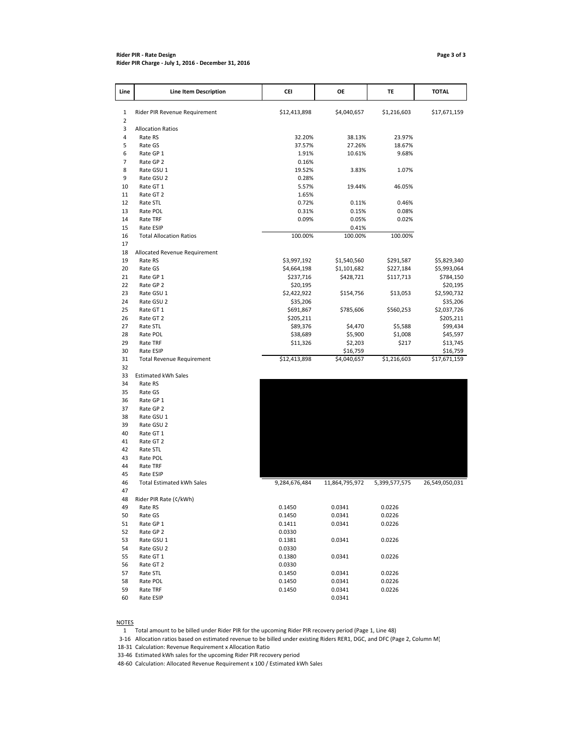#### **Rider PIR ‐ Rate Design Page 3 of 3 Rider PIR Charge ‐ July 1, 2016 ‐ December 31, 2016**

| Line     | Line Item Description            | CEI                     | OE               | TE               | <b>TOTAL</b>            |
|----------|----------------------------------|-------------------------|------------------|------------------|-------------------------|
| 1        | Rider PIR Revenue Requirement    | \$12,413,898            | \$4,040,657      | \$1,216,603      | \$17,671,159            |
| 2        |                                  |                         |                  |                  |                         |
| 3        | <b>Allocation Ratios</b>         |                         |                  |                  |                         |
| 4        | Rate RS                          | 32.20%                  | 38.13%           | 23.97%           |                         |
| 5        | Rate GS                          | 37.57%                  | 27.26%           | 18.67%           |                         |
| 6        | Rate GP 1                        | 1.91%                   | 10.61%           | 9.68%            |                         |
| 7<br>8   | Rate GP 2<br>Rate GSU 1          | 0.16%<br>19.52%         | 3.83%            | 1.07%            |                         |
| 9        | Rate GSU 2                       | 0.28%                   |                  |                  |                         |
| 10       | Rate GT 1                        | 5.57%                   | 19.44%           | 46.05%           |                         |
| 11       | Rate GT 2                        | 1.65%                   |                  |                  |                         |
| 12       | Rate STL                         | 0.72%                   | 0.11%            | 0.46%            |                         |
| 13       | Rate POL                         | 0.31%                   | 0.15%            | 0.08%            |                         |
| 14       | Rate TRF                         | 0.09%                   | 0.05%            | 0.02%            |                         |
| 15       | Rate ESIP                        |                         | 0.41%            |                  |                         |
| 16       | <b>Total Allocation Ratios</b>   | 100.00%                 | 100.00%          | 100.00%          |                         |
| 17       |                                  |                         |                  |                  |                         |
| 18       | Allocated Revenue Requirement    |                         |                  |                  |                         |
| 19       | Rate RS                          | \$3,997,192             | \$1,540,560      | \$291,587        | \$5,829,340             |
| 20       | Rate GS                          | \$4,664,198             | \$1,101,682      | \$227,184        | \$5,993,064             |
| 21       | Rate GP 1                        | \$237,716               | \$428,721        | \$117,713        | \$784,150               |
| 22       | Rate GP 2                        | \$20,195                |                  |                  | \$20,195                |
| 23<br>24 | Rate GSU 1<br>Rate GSU 2         | \$2,422,922<br>\$35,206 | \$154,756        | \$13,053         | \$2,590,732             |
| 25       | Rate GT 1                        | \$691,867               | \$785,606        | \$560,253        | \$35,206<br>\$2,037,726 |
| 26       | Rate GT 2                        | \$205,211               |                  |                  | \$205,211               |
| 27       | Rate STL                         | \$89,376                | \$4,470          | \$5,588          | \$99,434                |
| 28       | Rate POL                         | \$38,689                | \$5,900          | \$1,008          | \$45,597                |
| 29       | Rate TRF                         | \$11,326                | \$2,203          | \$217            | \$13,745                |
| 30       | Rate ESIP                        |                         | \$16,759         |                  | \$16,759                |
| 31       | <b>Total Revenue Requirement</b> | \$12,413,898            | \$4,040,657      | \$1,216,603      | \$17,671,159            |
| 32       |                                  |                         |                  |                  |                         |
| 33       | <b>Estimated kWh Sales</b>       |                         |                  |                  |                         |
| 34       | Rate RS                          |                         |                  |                  |                         |
| 35       | Rate GS                          |                         |                  |                  |                         |
| 36       | Rate GP 1                        |                         |                  |                  |                         |
| 37       | Rate GP 2                        |                         |                  |                  |                         |
| 38       | Rate GSU 1                       |                         |                  |                  |                         |
| 39<br>40 | Rate GSU 2<br>Rate GT 1          |                         |                  |                  |                         |
| 41       | Rate GT 2                        |                         |                  |                  |                         |
| 42       | Rate STL                         |                         |                  |                  |                         |
| 43       | Rate POL                         |                         |                  |                  |                         |
| 44       | Rate TRF                         |                         |                  |                  |                         |
| 45       | Rate ESIP                        |                         |                  |                  |                         |
| 46       | <b>Total Estimated kWh Sales</b> | 9,284,676,484           | 11,864,795,972   | 5,399,577,575    | 26,549,050,031          |
| 47       |                                  |                         |                  |                  |                         |
| 48       | Rider PIR Rate (¢/kWh)           |                         |                  |                  |                         |
| 49       | каtе кs                          | 0.1450                  | 0.0341           | 0.0226           |                         |
| 50       | Rate GS                          | 0.1450                  | 0.0341           | 0.0226           |                         |
| 51       | Rate GP 1                        | 0.1411                  | 0.0341           | 0.0226           |                         |
| 52       | Rate GP 2                        | 0.0330                  |                  |                  |                         |
| 53       | Rate GSU 1                       | 0.1381                  | 0.0341           | 0.0226           |                         |
| 54       | Rate GSU 2                       | 0.0330                  |                  |                  |                         |
| 55       | Rate GT 1                        | 0.1380                  | 0.0341           | 0.0226           |                         |
| 56       | Rate GT 2                        | 0.0330                  |                  |                  |                         |
| 57       | Rate STL                         | 0.1450                  | 0.0341           | 0.0226           |                         |
| 58<br>59 | Rate POL<br>Rate TRF             | 0.1450<br>0.1450        | 0.0341<br>0.0341 | 0.0226<br>0.0226 |                         |
| 60       | Rate ESIP                        |                         | 0.0341           |                  |                         |
|          |                                  |                         |                  |                  |                         |

60 Rate ESIP

NOTES

1 Total amount to be billed under Rider PIR for the upcoming Rider PIR recovery period (Page 1, Line 48)

3‐16 Allocation ratios based on estimated revenue to be billed under existing Riders RER1, DGC, and DFC (Page 2, Column M)

18‐31 Calculation: Revenue Requirement x Allocation Ratio

33‐46 Estimated kWh sales for the upcoming Rider PIR recovery period

48‐60 Calculation: Allocated Revenue Requirement x 100 / Estimated kWh Sales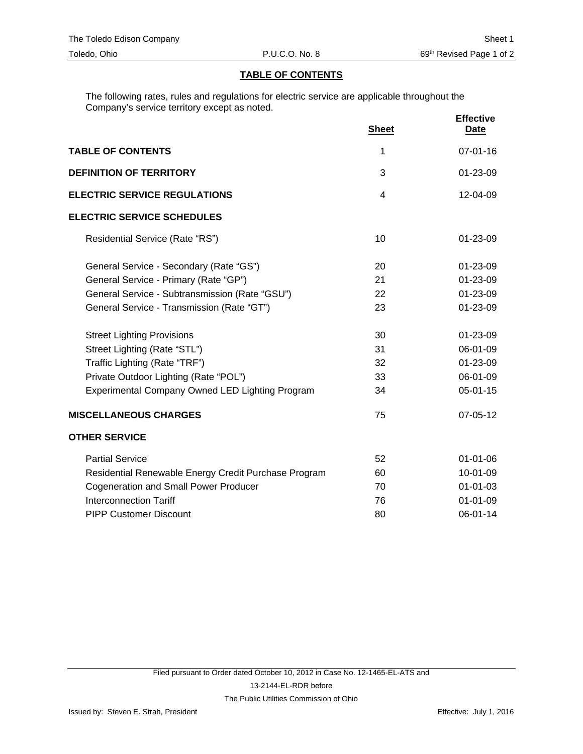## **TABLE OF CONTENTS**

The following rates, rules and regulations for electric service are applicable throughout the Company's service territory except as noted.

|                                                      | <b>Sheet</b> | <b>Effective</b><br><b>Date</b> |
|------------------------------------------------------|--------------|---------------------------------|
| <b>TABLE OF CONTENTS</b>                             | 1            | $07 - 01 - 16$                  |
| <b>DEFINITION OF TERRITORY</b>                       | 3            | 01-23-09                        |
| <b>ELECTRIC SERVICE REGULATIONS</b>                  | 4            | 12-04-09                        |
| <b>ELECTRIC SERVICE SCHEDULES</b>                    |              |                                 |
| Residential Service (Rate "RS")                      | 10           | 01-23-09                        |
| General Service - Secondary (Rate "GS")              | 20           | 01-23-09                        |
| General Service - Primary (Rate "GP")                | 21           | 01-23-09                        |
| General Service - Subtransmission (Rate "GSU")       | 22           | 01-23-09                        |
| General Service - Transmission (Rate "GT")           | 23           | 01-23-09                        |
| <b>Street Lighting Provisions</b>                    | 30           | 01-23-09                        |
| Street Lighting (Rate "STL")                         | 31           | 06-01-09                        |
| Traffic Lighting (Rate "TRF")                        | 32           | 01-23-09                        |
| Private Outdoor Lighting (Rate "POL")                | 33           | 06-01-09                        |
| Experimental Company Owned LED Lighting Program      | 34           | 05-01-15                        |
| <b>MISCELLANEOUS CHARGES</b>                         | 75           | 07-05-12                        |
| <b>OTHER SERVICE</b>                                 |              |                                 |
| <b>Partial Service</b>                               | 52           | $01 - 01 - 06$                  |
| Residential Renewable Energy Credit Purchase Program | 60           | 10-01-09                        |
| <b>Cogeneration and Small Power Producer</b>         | 70           | 01-01-03                        |
| <b>Interconnection Tariff</b>                        | 76           | $01 - 01 - 09$                  |
| <b>PIPP Customer Discount</b>                        | 80           | 06-01-14                        |
|                                                      |              |                                 |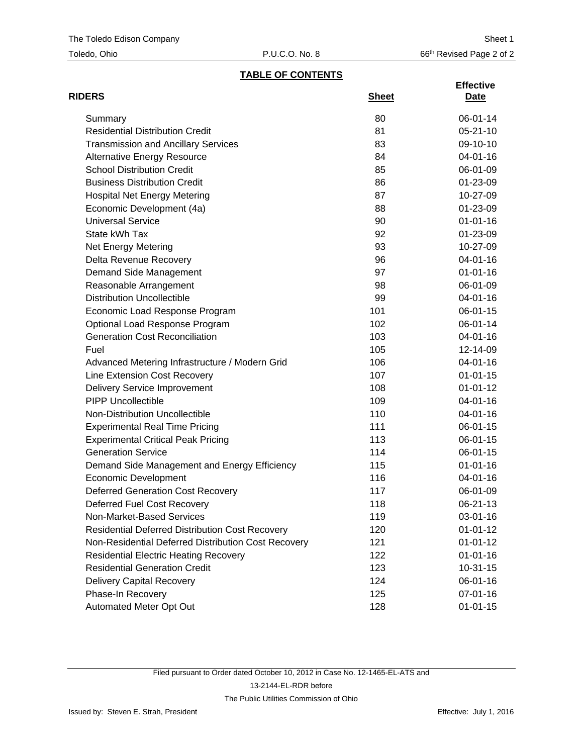| Toledo, Ohio |  |
|--------------|--|
|--------------|--|

## **TABLE OF CONTENTS**

| <b>RIDERS</b>                                          | <b>Sheet</b> | <b>Effective</b><br><u>Date</u> |
|--------------------------------------------------------|--------------|---------------------------------|
| Summary                                                | 80           | 06-01-14                        |
| <b>Residential Distribution Credit</b>                 | 81           | $05 - 21 - 10$                  |
| <b>Transmission and Ancillary Services</b>             | 83           | 09-10-10                        |
| <b>Alternative Energy Resource</b>                     | 84           | 04-01-16                        |
| <b>School Distribution Credit</b>                      | 85           | 06-01-09                        |
| <b>Business Distribution Credit</b>                    | 86           | 01-23-09                        |
| <b>Hospital Net Energy Metering</b>                    | 87           | 10-27-09                        |
| Economic Development (4a)                              | 88           | 01-23-09                        |
| <b>Universal Service</b>                               | 90           | $01 - 01 - 16$                  |
| State kWh Tax                                          | 92           | 01-23-09                        |
| Net Energy Metering                                    | 93           | 10-27-09                        |
| Delta Revenue Recovery                                 | 96           | 04-01-16                        |
| Demand Side Management                                 | 97           | $01 - 01 - 16$                  |
| Reasonable Arrangement                                 | 98           | 06-01-09                        |
| <b>Distribution Uncollectible</b>                      | 99           | 04-01-16                        |
| Economic Load Response Program                         | 101          | $06 - 01 - 15$                  |
| Optional Load Response Program                         | 102          | 06-01-14                        |
| <b>Generation Cost Reconciliation</b>                  | 103          | 04-01-16                        |
| Fuel                                                   | 105          | 12-14-09                        |
| Advanced Metering Infrastructure / Modern Grid         | 106          | 04-01-16                        |
| Line Extension Cost Recovery                           | 107          | $01 - 01 - 15$                  |
| <b>Delivery Service Improvement</b>                    | 108          | $01 - 01 - 12$                  |
| <b>PIPP Uncollectible</b>                              | 109          | 04-01-16                        |
| Non-Distribution Uncollectible                         | 110          | 04-01-16                        |
| <b>Experimental Real Time Pricing</b>                  | 111          | 06-01-15                        |
| <b>Experimental Critical Peak Pricing</b>              | 113          | 06-01-15                        |
| <b>Generation Service</b>                              | 114          | $06 - 01 - 15$                  |
| Demand Side Management and Energy Efficiency           | 115          | $01 - 01 - 16$                  |
| <b>Economic Development</b>                            | 116          | $04 - 01 - 16$                  |
| <b>Deferred Generation Cost Recovery</b>               | 117          | 06-01-09                        |
| Deferred Fuel Cost Recovery                            | 118          | 06-21-13                        |
| Non-Market-Based Services                              | 119          | $03 - 01 - 16$                  |
| <b>Residential Deferred Distribution Cost Recovery</b> | 120          | $01 - 01 - 12$                  |
| Non-Residential Deferred Distribution Cost Recovery    | 121          | $01 - 01 - 12$                  |
| <b>Residential Electric Heating Recovery</b>           | 122          | $01 - 01 - 16$                  |
| <b>Residential Generation Credit</b>                   | 123          | $10-31-15$                      |
| <b>Delivery Capital Recovery</b>                       | 124          | 06-01-16                        |
| Phase-In Recovery                                      | 125          | 07-01-16                        |
| Automated Meter Opt Out                                | 128          | $01 - 01 - 15$                  |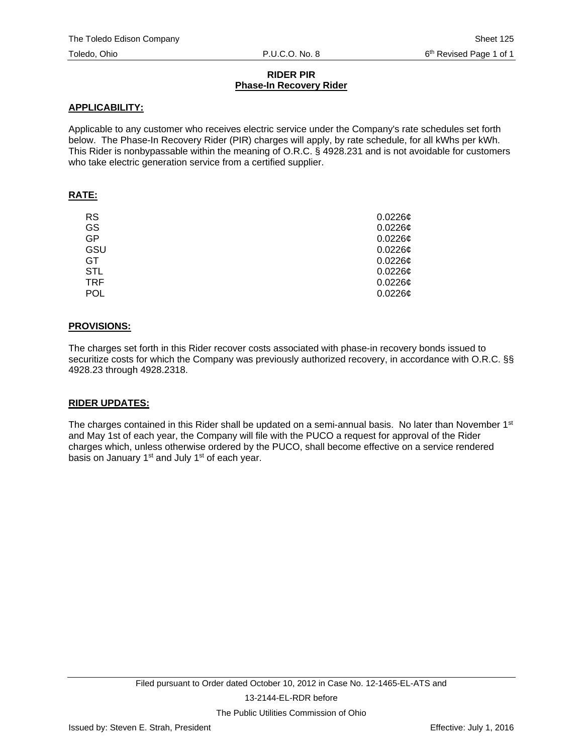## **RIDER PIR Phase-In Recovery Rider**

## **APPLICABILITY:**

Applicable to any customer who receives electric service under the Company's rate schedules set forth below. The Phase-In Recovery Rider (PIR) charges will apply, by rate schedule, for all kWhs per kWh. This Rider is nonbypassable within the meaning of O.R.C. § 4928.231 and is not avoidable for customers who take electric generation service from a certified supplier.

## **RATE:**

| <b>RS</b>  | $0.0226$ ¢ |
|------------|------------|
| GS         | 0.02266    |
| GP         | $0.0226$ ¢ |
| GSU        | $0.0226$ ¢ |
| GT.        | $0.0226$ ¢ |
| <b>STL</b> | $0.0226$ ¢ |
| <b>TRF</b> | $0.0226$ ¢ |
| <b>POL</b> | $0.0226$ ¢ |

## **PROVISIONS:**

The charges set forth in this Rider recover costs associated with phase-in recovery bonds issued to securitize costs for which the Company was previously authorized recovery, in accordance with O.R.C. §§ 4928.23 through 4928.2318.

## **RIDER UPDATES:**

The charges contained in this Rider shall be updated on a semi-annual basis. No later than November  $1<sup>st</sup>$ and May 1st of each year, the Company will file with the PUCO a request for approval of the Rider charges which, unless otherwise ordered by the PUCO, shall become effective on a service rendered basis on January 1<sup>st</sup> and July 1<sup>st</sup> of each year.

The Public Utilities Commission of Ohio